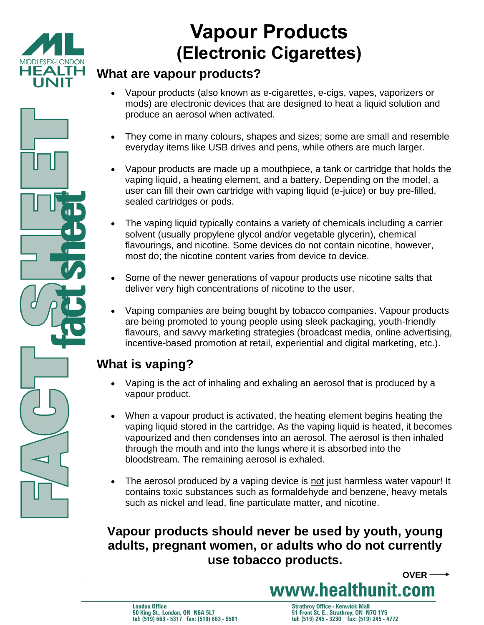

# **Vapour Products (Electronic Cigarettes)**

#### **What are vapour products?**

- Vapour products (also known as e-cigarettes, e-cigs, vapes, vaporizers or mods) are electronic devices that are designed to heat a liquid solution and produce an aerosol when activated.
- They come in many colours, shapes and sizes; some are small and resemble everyday items like USB drives and pens, while others are much larger.
- Vapour products are made up a mouthpiece, a tank or cartridge that holds the vaping liquid, a heating element, and a battery. Depending on the model, a user can fill their own cartridge with vaping liquid (e-juice) or buy pre-filled, sealed cartridges or pods.
- The vaping liquid typically contains a variety of chemicals including a carrier solvent (usually propylene glycol and/or vegetable glycerin), chemical flavourings, and nicotine. Some devices do not contain nicotine, however, most do; the nicotine content varies from device to device.
- Some of the newer generations of vapour products use nicotine salts that deliver very high concentrations of nicotine to the user.
- Vaping companies are being bought by tobacco companies. Vapour products are being promoted to young people using sleek packaging, youth-friendly flavours, and savvy marketing strategies (broadcast media, online advertising, incentive-based promotion at retail, experiential and digital marketing, etc.).

# **What is vaping?**

- Vaping is the act of inhaling and exhaling an aerosol that is produced by a vapour product.
- When a vapour product is activated, the heating element begins heating the vaping liquid stored in the cartridge. As the vaping liquid is heated, it becomes vapourized and then condenses into an aerosol. The aerosol is then inhaled through the mouth and into the lungs where it is absorbed into the bloodstream. The remaining aerosol is exhaled.
- The aerosol produced by a vaping device is not just harmless water vapour! It contains toxic substances such as formaldehyde and benzene, heavy metals such as nickel and lead, fine particulate matter, and nicotine.

## **Vapour products should never be used by youth, young adults, pregnant women, or adults who do not currently use tobacco products.**

**OVER**

www.healthunit.com